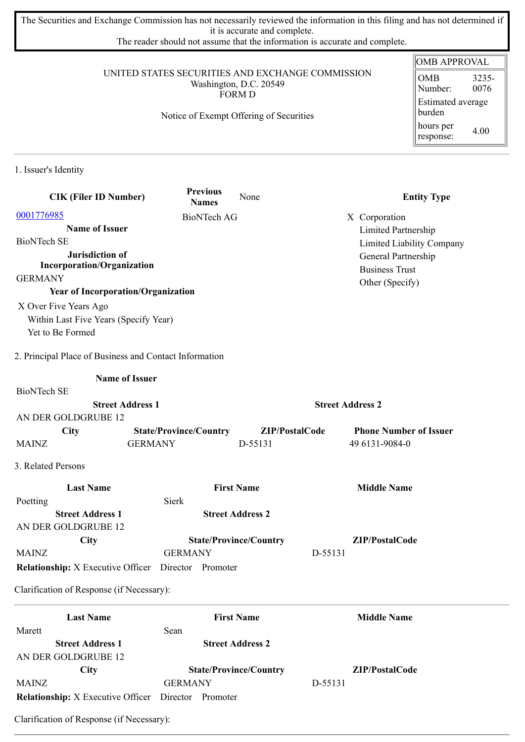The Securities and Exchange Commission has not necessarily reviewed the information in this filing and has not determined if it is accurate and complete.

The reader should not assume that the information is accurate and complete.

#### UNITED STATES SECURITIES AND EXCHANGE COMMISSION Washington, D.C. 20549 FORM D

Notice of Exempt Offering of Securities

| <b>OMB APPROVAL</b>         |       |  |
|-----------------------------|-------|--|
| OMB                         | 3235- |  |
| Number:                     | 0076  |  |
| Estimated average<br>burden |       |  |
| hours per<br>response:      | 4.00  |  |

1. Issuer's Identity

| <b>CIK (Filer ID Number)</b>                           | <b>Previous</b><br><b>Names</b> | None                          | <b>Entity Type</b>            |
|--------------------------------------------------------|---------------------------------|-------------------------------|-------------------------------|
| 0001776985                                             | <b>BioNTech AG</b>              |                               | X Corporation                 |
| <b>Name of Issuer</b>                                  |                                 |                               | Limited Partnership           |
| <b>BioNTech SE</b>                                     |                                 |                               | Limited Liability Company     |
| Jurisdiction of                                        |                                 |                               | General Partnership           |
| <b>Incorporation/Organization</b><br><b>GERMANY</b>    |                                 |                               | <b>Business Trust</b>         |
| <b>Year of Incorporation/Organization</b>              |                                 |                               | Other (Specify)               |
| X Over Five Years Ago                                  |                                 |                               |                               |
| Within Last Five Years (Specify Year)                  |                                 |                               |                               |
| Yet to Be Formed                                       |                                 |                               |                               |
|                                                        |                                 |                               |                               |
| 2. Principal Place of Business and Contact Information |                                 |                               |                               |
| <b>Name of Issuer</b>                                  |                                 |                               |                               |
| <b>BioNTech SE</b>                                     |                                 |                               |                               |
| <b>Street Address 1</b>                                |                                 |                               | <b>Street Address 2</b>       |
| AN DER GOLDGRUBE 12                                    |                                 |                               |                               |
| <b>City</b>                                            | <b>State/Province/Country</b>   | ZIP/PostalCode                | <b>Phone Number of Issuer</b> |
| <b>MAINZ</b>                                           | <b>GERMANY</b>                  | D-55131                       | 49 6131-9084-0                |
| 3. Related Persons                                     |                                 |                               |                               |
| <b>Last Name</b>                                       |                                 | <b>First Name</b>             | <b>Middle Name</b>            |
| Poetting                                               | Sierk                           |                               |                               |
| <b>Street Address 1</b>                                |                                 | <b>Street Address 2</b>       |                               |
| AN DER GOLDGRUBE 12                                    |                                 |                               |                               |
| City                                                   |                                 | <b>State/Province/Country</b> | ZIP/PostalCode                |
| <b>MAINZ</b>                                           | <b>GERMANY</b>                  |                               | D-55131                       |
| <b>Relationship:</b> X Executive Officer               | Director Promoter               |                               |                               |
| Clarification of Response (if Necessary):              |                                 |                               |                               |
| <b>Last Name</b>                                       |                                 | <b>First Name</b>             | <b>Middle Name</b>            |
| Marett                                                 | Sean                            |                               |                               |
| <b>Street Address 1</b>                                |                                 | <b>Street Address 2</b>       |                               |
| AN DER GOLDGRUBE 12                                    |                                 |                               |                               |
| City                                                   |                                 | <b>State/Province/Country</b> | ZIP/PostalCode                |
| <b>MAINZ</b>                                           | <b>GERMANY</b>                  |                               | D-55131                       |

**Relationship:** X Executive Officer Director Promoter

Clarification of Response (if Necessary):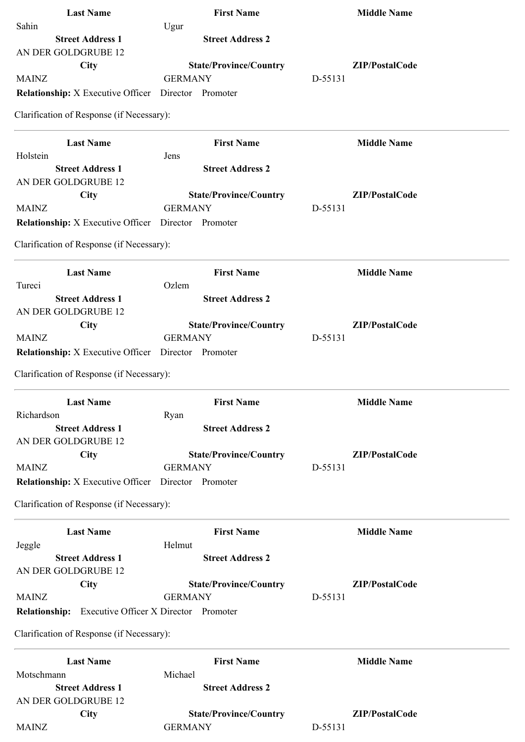| <b>Last Name</b>                                           | <b>First Name</b>                     | <b>Middle Name</b> |
|------------------------------------------------------------|---------------------------------------|--------------------|
| Sahin                                                      | Ugur                                  |                    |
| <b>Street Address 1</b>                                    | <b>Street Address 2</b>               |                    |
| AN DER GOLDGRUBE 12                                        |                                       |                    |
| City                                                       | <b>State/Province/Country</b>         | ZIP/PostalCode     |
| <b>MAINZ</b>                                               | <b>GERMANY</b>                        | D-55131            |
| <b>Relationship:</b> X Executive Officer                   | Director Promoter                     |                    |
| Clarification of Response (if Necessary):                  |                                       |                    |
| <b>Last Name</b>                                           | <b>First Name</b>                     | <b>Middle Name</b> |
| Holstein                                                   | Jens                                  |                    |
| <b>Street Address 1</b>                                    | <b>Street Address 2</b>               |                    |
| AN DER GOLDGRUBE 12                                        |                                       |                    |
| <b>City</b>                                                | <b>State/Province/Country</b>         | ZIP/PostalCode     |
| <b>MAINZ</b>                                               | <b>GERMANY</b>                        | D-55131            |
| <b>Relationship:</b> X Executive Officer Director Promoter |                                       |                    |
| Clarification of Response (if Necessary):                  |                                       |                    |
| <b>Last Name</b>                                           | <b>First Name</b>                     | <b>Middle Name</b> |
| Tureci                                                     | Ozlem                                 |                    |
| <b>Street Address 1</b>                                    | <b>Street Address 2</b>               |                    |
| AN DER GOLDGRUBE 12                                        |                                       |                    |
| <b>City</b>                                                | <b>State/Province/Country</b>         | ZIP/PostalCode     |
| <b>MAINZ</b>                                               | <b>GERMANY</b>                        | D-55131            |
| <b>Relationship:</b> X Executive Officer Director Promoter |                                       |                    |
| Clarification of Response (if Necessary):                  |                                       |                    |
| <b>Last Name</b>                                           | <b>First Name</b>                     | <b>Middle Name</b> |
| Richardson                                                 | Ryan                                  |                    |
| <b>Street Address 1</b>                                    | <b>Street Address 2</b>               |                    |
| AN DER GOLDGRUBE 12                                        |                                       |                    |
| City                                                       | <b>State/Province/Country</b>         | ZIP/PostalCode     |
| <b>MAINZ</b>                                               | <b>GERMANY</b>                        | D-55131            |
| <b>Relationship:</b> X Executive Officer Director Promoter |                                       |                    |
| Clarification of Response (if Necessary):                  |                                       |                    |
| <b>Last Name</b>                                           | <b>First Name</b>                     | <b>Middle Name</b> |
| Jeggle                                                     | Helmut                                |                    |
| <b>Street Address 1</b>                                    | <b>Street Address 2</b>               |                    |
| AN DER GOLDGRUBE 12                                        |                                       |                    |
| City                                                       | <b>State/Province/Country</b>         | ZIP/PostalCode     |
| <b>MAINZ</b>                                               | <b>GERMANY</b>                        | D-55131            |
| <b>Relationship:</b>                                       | Executive Officer X Director Promoter |                    |
| Clarification of Response (if Necessary):                  |                                       |                    |
| <b>Last Name</b>                                           | <b>First Name</b>                     | <b>Middle Name</b> |
| Motschmann                                                 | Michael                               |                    |
| <b>Street Address 1</b>                                    | <b>Street Address 2</b>               |                    |
| AN DER GOLDGRUBE 12                                        |                                       |                    |
| City                                                       | <b>State/Province/Country</b>         | ZIP/PostalCode     |
| <b>MAINZ</b>                                               | <b>GERMANY</b>                        | D-55131            |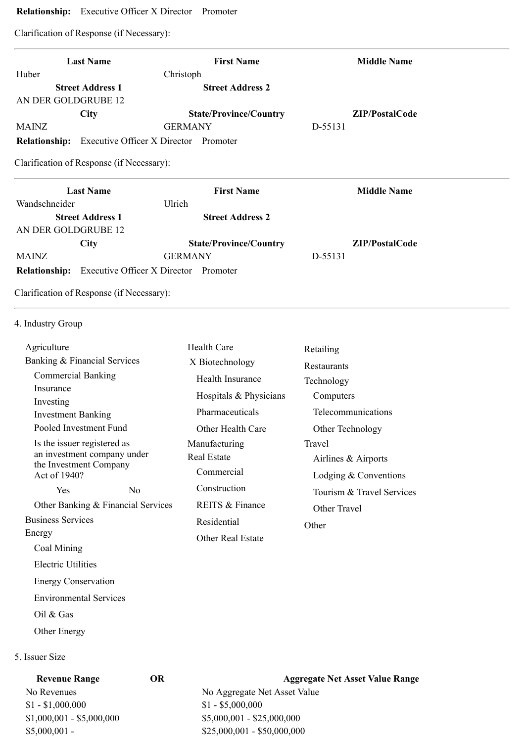# **Relationship:** Executive Officer X Director Promoter

Clarification of Response (if Necessary):

| <b>Last Name</b>                                              | <b>First Name</b>                     | <b>Middle Name</b> |
|---------------------------------------------------------------|---------------------------------------|--------------------|
| Huber                                                         | Christoph                             |                    |
| <b>Street Address 1</b>                                       | <b>Street Address 2</b>               |                    |
| AN DER GOLDGRUBE 12                                           |                                       |                    |
| <b>City</b>                                                   | <b>State/Province/Country</b>         | ZIP/PostalCode     |
| MAINZ                                                         | <b>GERMANY</b>                        | D-55131            |
| Executive Officer X Director Promoter<br><b>Relationship:</b> |                                       |                    |
| <b>Last Name</b><br>Wandschneider                             | <b>First Name</b><br>Ulrich           | <b>Middle Name</b> |
| <b>Street Address 1</b>                                       | <b>Street Address 2</b>               |                    |
| AN DER GOLDGRUBE 12                                           |                                       |                    |
| <b>City</b>                                                   | <b>State/Province/Country</b>         | ZIP/PostalCode     |
| <b>MAINZ</b>                                                  | <b>GERMANY</b>                        | D-55131            |
| <b>Relationship:</b>                                          | Executive Officer X Director Promoter |                    |
|                                                               |                                       |                    |

4. Industry Group

| Agriculture                                           |     | Health Care              | Retailing                 |
|-------------------------------------------------------|-----|--------------------------|---------------------------|
| Banking & Financial Services                          |     | X Biotechnology          | Restaurants               |
| <b>Commercial Banking</b>                             |     | Health Insurance         | Technology                |
| Insurance<br>Investing                                |     | Hospitals & Physicians   | Computers                 |
| <b>Investment Banking</b>                             |     | Pharmaceuticals          | Telecommunications        |
| Pooled Investment Fund                                |     | Other Health Care        | Other Technology          |
| Is the issuer registered as                           |     | Manufacturing            | Travel                    |
| an investment company under<br>the Investment Company |     | Real Estate              | Airlines & Airports       |
| Act of 1940?                                          |     | Commercial               | Lodging $&$ Conventions   |
| <b>Yes</b>                                            | No. | Construction             | Tourism & Travel Services |
| Other Banking & Financial Services                    |     | REITS & Finance          | Other Travel              |
| <b>Business Services</b>                              |     | Residential              | Other                     |
| Energy                                                |     | <b>Other Real Estate</b> |                           |
| Coal Mining                                           |     |                          |                           |

### 5. Issuer Size

Oil & Gas

Other Energy

Electric Utilities

Energy Conservation

Environmental Services

| <b>Revenue Range</b>      | OR | <b>Aggregate Net Asset Value Range</b> |
|---------------------------|----|----------------------------------------|
| No Revenues               |    | No Aggregate Net Asset Value           |
| $$1 - $1,000,000$         |    | $$1 - $5,000,000$                      |
| $$1,000,001 - $5,000,000$ |    | $$5,000,001 - $25,000,000$             |
| $$5,000,001$ -            |    | $$25,000,001 - $50,000,000$            |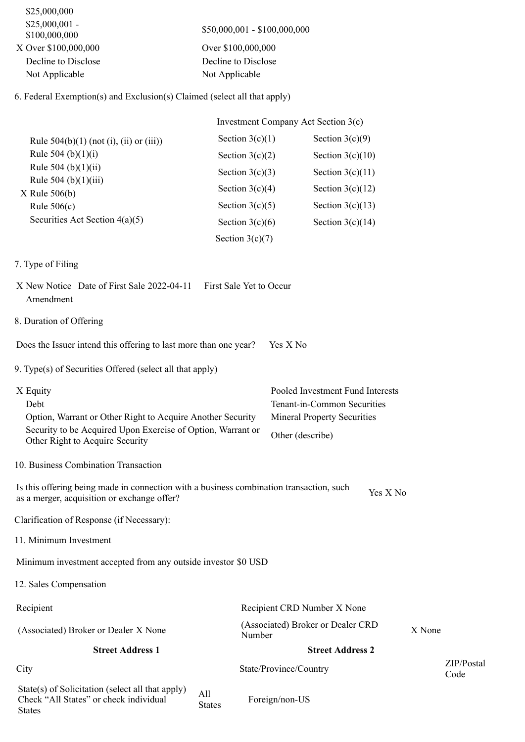| \$25,000,000                     |                                                                          |
|----------------------------------|--------------------------------------------------------------------------|
| $$25,000,001$ -<br>\$100,000,000 | \$50,000,001 - \$100,000,000                                             |
| X Over \$100,000,000             | Over \$100,000,000                                                       |
| Decline to Disclose              | Decline to Disclose                                                      |
| Not Applicable                   | Not Applicable                                                           |
|                                  | 6. Federal Exemption(s) and Exclusion(s) Claimed (select all that apply) |
|                                  | Investment Company Act Section 3(c)                                      |

|                                              | $\mu$ . The company of $\mu$ is the section $\sigma(\mathbf{v})$ |                    |  |
|----------------------------------------------|------------------------------------------------------------------|--------------------|--|
| Rule $504(b)(1)$ (not (i), (ii) or (iii))    | Section $3(c)(1)$                                                | Section $3(c)(9)$  |  |
| Rule 504 (b) $(1)(i)$                        | Section $3(c)(2)$                                                | Section $3(c)(10)$ |  |
| Rule 504 (b) $(1)(ii)$                       | Section $3(c)(3)$                                                | Section $3(c)(11)$ |  |
| Rule $504$ (b) $(1)(iii)$<br>$X$ Rule 506(b) | Section $3(c)(4)$                                                | Section $3(c)(12)$ |  |
| Rule $506(c)$                                | Section $3(c)(5)$                                                | Section $3(c)(13)$ |  |
| Securities Act Section $4(a)(5)$             | Section $3(c)(6)$                                                | Section $3(c)(14)$ |  |
|                                              | Section $3(c)(7)$                                                |                    |  |

# 7. Type of Filing

- X New Notice Date of First Sale 2022-04-11 First Sale Yet to Occur Amendment
- 8. Duration of Offering

Does the Issuer intend this offering to last more than one year? Yes X No

- 9. Type(s) of Securities Offered (select all that apply)
- X Equity Pooled Investment Fund Interests Debt Tenant-in-Common Securities Option, Warrant or Other Right to Acquire Another Security Mineral Property Securities Security to be Acquired Upon Exercise of Option, Warrant or Other Right to Acquire Security<br>Other Right to Acquire Security
- 10. Business Combination Transaction

Is this offering being made in connection with a business combination transaction, such is this oriening being made in connection with a business combination transaction, such  $Y$ es X No as a merger, acquisition or exchange offer?

Clarification of Response (if Necessary):

11. Minimum Investment

Minimum investment accepted from any outside investor \$0 USD

12. Sales Compensation

**States** 

| Recipient                                                                                  |                      | Recipient CRD Number X None                 |                    |
|--------------------------------------------------------------------------------------------|----------------------|---------------------------------------------|--------------------|
| (Associated) Broker or Dealer X None                                                       |                      | (Associated) Broker or Dealer CRD<br>Number | X None             |
| <b>Street Address 1</b>                                                                    |                      | <b>Street Address 2</b>                     |                    |
| City                                                                                       |                      | State/Province/Country                      | ZIP/Postal<br>Code |
| State(s) of Solicitation (select all that apply)<br>Check "All States" or check individual | All<br><b>States</b> | Foreign/non-US                              |                    |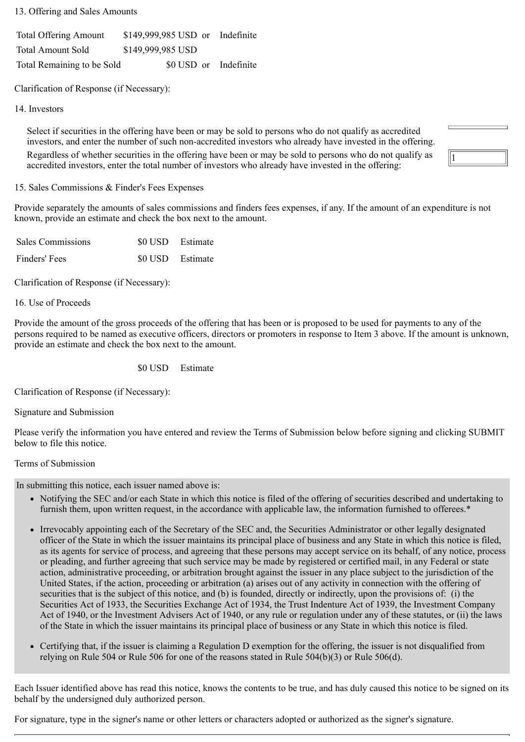13. Offering and Sales Amounts

Total Offering Amount \$149,999,985 USD or Indefinite Total Amount Sold \$149,999,985 USD Total Remaining to be Sold \$0 USD or Indefinite

Clarification of Response (if Necessary):

14. Investors

Select if securities in the offering have been or may be sold to persons who do not qualify as accredited investors, and enter the number of such non-accredited investors who already have invested in the offering. Regardless of whether securities in the offering have been or may be sold to persons who do not qualify as accredited investors, enter the total number of investors who already have invested in the offering:

15. Sales Commissions & Finder's Fees Expenses

Provide separately the amounts of sales commissions and finders fees expenses, if any. If the amount of an expenditure is not known, provide an estimate and check the box next to the amount.

1

| <b>Sales Commissions</b> | \$0 USD Estimate |  |
|--------------------------|------------------|--|
| Finders' Fees            | \$0 USD Estimate |  |

Clarification of Response (if Necessary):

16. Use of Proceeds

Provide the amount of the gross proceeds of the offering that has been or is proposed to be used for payments to any of the persons required to be named as executive officers, directors or promoters in response to Item 3 above. If the amount is unknown, provide an estimate and check the box next to the amount.

\$0 USD Estimate

Clarification of Response (if Necessary):

Signature and Submission

Please verify the information you have entered and review the Terms of Submission below before signing and clicking SUBMIT below to file this notice.

# Terms of Submission

In submitting this notice, each issuer named above is:

- Notifying the SEC and/or each State in which this notice is filed of the offering of securities described and undertaking to furnish them, upon written request, in the accordance with applicable law, the information furnished to offerees.\*
- Irrevocably appointing each of the Secretary of the SEC and, the Securities Administrator or other legally designated officer of the State in which the issuer maintains its principal place of business and any State in which this notice is filed, as its agents for service of process, and agreeing that these persons may accept service on its behalf, of any notice, process or pleading, and further agreeing that such service may be made by registered or certified mail, in any Federal or state action, administrative proceeding, or arbitration brought against the issuer in any place subject to the jurisdiction of the United States, if the action, proceeding or arbitration (a) arises out of any activity in connection with the offering of securities that is the subject of this notice, and (b) is founded, directly or indirectly, upon the provisions of: (i) the Securities Act of 1933, the Securities Exchange Act of 1934, the Trust Indenture Act of 1939, the Investment Company Act of 1940, or the Investment Advisers Act of 1940, or any rule or regulation under any of these statutes, or (ii) the laws of the State in which the issuer maintains its principal place of business or any State in which this notice is filed.
- Certifying that, if the issuer is claiming a Regulation D exemption for the offering, the issuer is not disqualified from relying on Rule 504 or Rule 506 for one of the reasons stated in Rule 504(b)(3) or Rule 506(d).

Each Issuer identified above has read this notice, knows the contents to be true, and has duly caused this notice to be signed on its behalf by the undersigned duly authorized person.

For signature, type in the signer's name or other letters or characters adopted or authorized as the signer's signature.